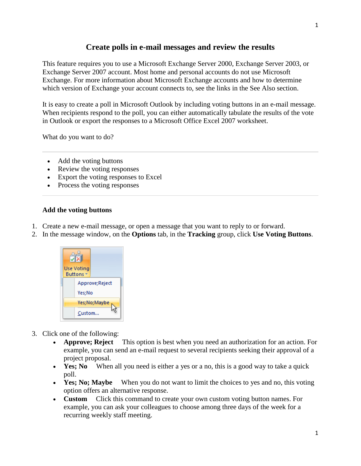# **Create polls in e-mail messages and review the results**

This feature requires you to use a Microsoft Exchange Server 2000, Exchange Server 2003, or Exchange Server 2007 account. Most home and personal accounts do not use Microsoft Exchange. For more information about Microsoft Exchange accounts and how to determine which version of Exchange your account connects to, see the links in the See Also section.

It is easy to create a poll in Microsoft Outlook by including voting buttons in an e-mail message. When recipients respond to the poll, you can either automatically tabulate the results of the vote in Outlook or export the responses to a Microsoft Office Excel 2007 worksheet.

What do you want to do?

- [Add the voting buttons](http://office.microsoft.com/en-us/outlook-help/create-polls-in-e-mail-messages-and-review-the-results-HP010080425.aspx#BM1)
- [Review the voting responses](http://office.microsoft.com/en-us/outlook-help/create-polls-in-e-mail-messages-and-review-the-results-HP010080425.aspx#BM2)
- [Export the voting responses to Excel](http://office.microsoft.com/en-us/outlook-help/create-polls-in-e-mail-messages-and-review-the-results-HP010080425.aspx#BM3)
- [Process the voting responses](http://office.microsoft.com/en-us/outlook-help/create-polls-in-e-mail-messages-and-review-the-results-HP010080425.aspx#BM4)

# **Add the voting buttons**

- 1. Create a new e-mail message, or open a message that you want to reply to or forward.
- 2. In the message window, on the **Options** tab, in the **Tracking** group, click **Use Voting Buttons**.



- 3. Click one of the following:
	- **Approve; Reject** This option is best when you need an authorization for an action. For example, you can send an e-mail request to several recipients seeking their approval of a project proposal.
	- **Yes: No** When all you need is either a yes or a no, this is a good way to take a quick poll.
	- **Yes; No; Maybe** When you do not want to limit the choices to yes and no, this voting option offers an alternative response.
	- **Custom** Click this command to create your own custom voting button names. For example, you can ask your colleagues to choose among three days of the week for a recurring weekly staff meeting.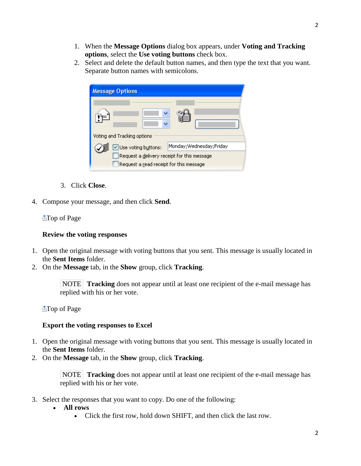- 1. When the **Message Options** dialog box appears, under **Voting and Tracking options**, select the **Use voting buttons** check box.
- 2. Select and delete the default button names, and then type the text that you want. Separate button names with semicolons.

| <b>Message Options</b>                                                                 |                           |
|----------------------------------------------------------------------------------------|---------------------------|
| Voting and Tracking options                                                            |                           |
| Use voting buttons:                                                                    | Monday; Wednesday; Friday |
| Request a delivery receipt for this message<br>Request a read receipt for this message |                           |

- 3. Click **Close**.
- 4. Compose your message, and then click **Send**.

# [Top of Page](http://office.microsoft.com/en-us/outlook-help/create-polls-in-e-mail-messages-and-review-the-results-HP010080425.aspx#top)

#### **Review the voting responses**

- 1. Open the original message with voting buttons that you sent. This message is usually located in the **Sent Items** folder.
- 2. On the **Message** tab, in the **Show** group, click **Tracking**.

NOTE **Tracking** does not appear until at least one recipient of the e-mail message has replied with his or her vote.

**The of Page** 

# **Export the voting responses to Excel**

- 1. Open the original message with voting buttons that you sent. This message is usually located in the **Sent Items** folder.
- 2. On the **Message** tab, in the **Show** group, click **Tracking**.

NOTE **Tracking** does not appear until at least one recipient of the e-mail message has replied with his or her vote.

- 3. Select the responses that you want to copy. Do one of the following:
	- **All rows**
		- Click the first row, hold down SHIFT, and then click the last row.